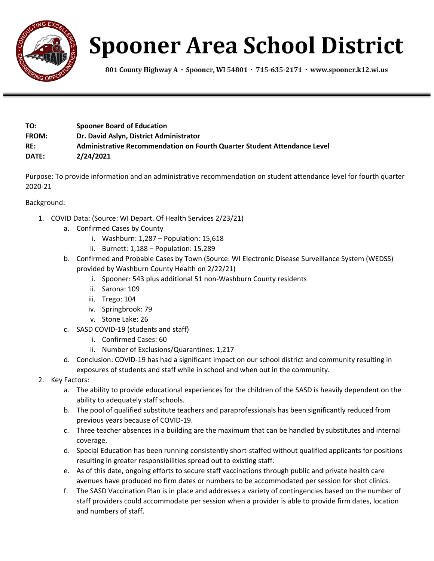

## **Spooner Area School District**

801 County Highway A · Spooner, WI 54801 · 715-635-2171 · www.spooner.k12.wi.us

| TO:          | <b>Spooner Board of Education</b>                                        |
|--------------|--------------------------------------------------------------------------|
| <b>FROM:</b> | Dr. David Aslyn, District Administrator                                  |
| RE:          | Administrative Recommendation on Fourth Quarter Student Attendance Level |
| DATE:        | 2/24/2021                                                                |

Purpose: To provide information and an administrative recommendation on student attendance level for fourth quarter 2020-21

## Background:

- 1. COVID Data: (Source: WI Depart. Of Health Services 2/23/21)
	- a. Confirmed Cases by County
		- i. Washburn: 1,287 Population: 15,618
		- ii. Burnett: 1,188 Population: 15,289
	- b. Confirmed and Probable Cases by Town (Source: WI Electronic Disease Surveillance System (WEDSS) provided by Washburn County Health on 2/22/21)
		- i. Spooner: 543 plus additional 51 non-Washburn County residents
		- ii. Sarona: 109
		- iii. Trego: 104
		- iv. Springbrook: 79
		- v. Stone Lake: 26
	- c. SASD COVID-19 (students and staff)
		- i. Confirmed Cases: 60
		- ii. Number of Exclusions/Quarantines: 1,217
	- d. Conclusion: COVID-19 has had a significant impact on our school district and community resulting in exposures of students and staff while in school and when out in the community.
- 2. Key Factors:
	- a. The ability to provide educational experiences for the children of the SASD is heavily dependent on the ability to adequately staff schools.
	- b. The pool of qualified substitute teachers and paraprofessionals has been significantly reduced from previous years because of COVID-19.
	- c. Three teacher absences in a building are the maximum that can be handled by substitutes and internal coverage.
	- d. Special Education has been running consistently short-staffed without qualified applicants for positions resulting in greater responsibilities spread out to existing staff.
	- e. As of this date, ongoing efforts to secure staff vaccinations through public and private health care avenues have produced no firm dates or numbers to be accommodated per session for shot clinics.
	- f. The SASD Vaccination Plan is in place and addresses a variety of contingencies based on the number of staff providers could accommodate per session when a provider is able to provide firm dates, location and numbers of staff.